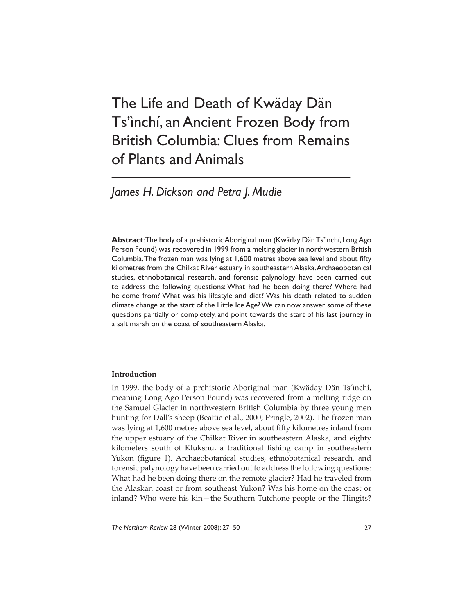# The Life and Death of Kwäday Dän Ts'ìnchí, an Ancient Frozen Body from British Columbia: Clues from Remains of Plants and Animals

## *James H. Dickson and Petra J. Mudie*

**Abstract**: The body of a prehistoric Aboriginal man (Kwäday Dän Ts'ìnchí, Long Ago Person Found) was recovered in 1999 from a melting glacier in northwestern British Columbia. The frozen man was lying at 1,600 metres above sea level and about fifty kilometres from the Chilkat River estuary in southeastern Alaska. Archaeobotanical studies, ethnobotanical research, and forensic palynology have been carried out to address the following questions: What had he been doing there? Where had he come from? What was his lifestyle and diet? Was his death related to sudden climate change at the start of the Little Ice Age? We can now answer some of these questions partially or completely, and point towards the start of his last journey in a salt marsh on the coast of southeastern Alaska.

## **Introduction**

In 1999, the body of a prehistoric Aboriginal man (Kwäday Dän Ts'ìnchí, meaning Long Ago Person Found) was recovered from a melting ridge on the Samuel Glacier in northwestern British Columbia by three young men hunting for Dall's sheep (Beattie et al., 2000; Pringle, 2002). The frozen man was lying at 1,600 metres above sea level, about fifty kilometres inland from the upper estuary of the Chilkat River in southeastern Alaska, and eighty kilometers south of Klukshu, a traditional fishing camp in southeastern Yukon (figure 1). Archaeobotanical studies, ethnobotanical research, and forensic palynology have been carried out to address the following questions: What had he been doing there on the remote glacier? Had he traveled from the Alaskan coast or from southeast Yukon? Was his home on the coast or inland? Who were his kin—the Southern Tutchone people or the Tlingits?

*The Northern Review* 28 (Winter 2008): 27–50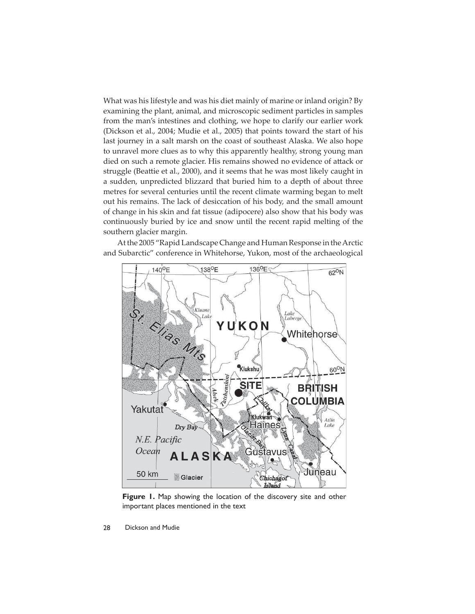What was his lifestyle and was his diet mainly of marine or inland origin? By examining the plant, animal, and microscopic sediment particles in samples from the man's intestines and clothing, we hope to clarify our earlier work (Dickson et al., 2004; Mudie et al., 2005) that points toward the start of his last journey in a salt marsh on the coast of southeast Alaska. We also hope to unravel more clues as to why this apparently healthy, strong young man died on such a remote glacier. His remains showed no evidence of attack or struggle (Beattie et al., 2000), and it seems that he was most likely caught in a sudden, unpredicted blizzard that buried him to a depth of about three metres for several centuries until the recent climate warming began to melt out his remains. The lack of desiccation of his body, and the small amount of change in his skin and fat tissue (adipocere) also show that his body was continuously buried by ice and snow until the recent rapid melting of the southern glacier margin.

At the 2005 "Rapid Landscape Change and Human Response in the Arctic and Subarctic" conference in Whitehorse, Yukon, most of the archaeological



**Figure 1.** Map showing the location of the discovery site and other important places mentioned in the text

28 Dickson and Mudie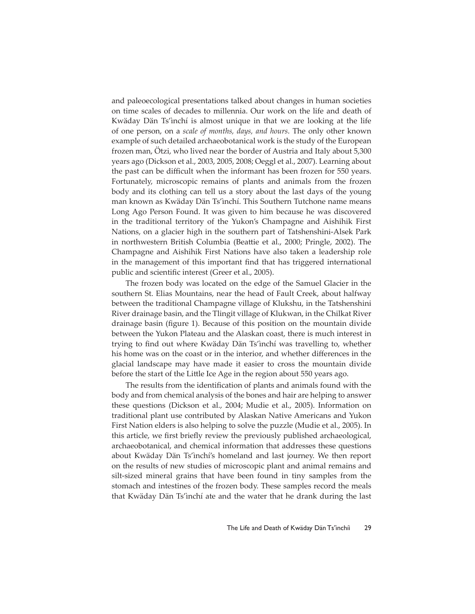and paleoecological presentations talked about changes in human societies on time scales of decades to millennia. Our work on the life and death of Kwäday Dän Ts'ìnchí is almost unique in that we are looking at the life of one person, on a *scale of months, days, and hours*. The only other known example of such detailed archaeobotanical work is the study of the European frozen man, Ötzi, who lived near the border of Austria and Italy about 5,300 years ago (Dickson et al., 2003, 2005, 2008; Oeggl et al., 2007). Learning about the past can be difficult when the informant has been frozen for 550 years. Fortunately, microscopic remains of plants and animals from the frozen body and its clothing can tell us a story about the last days of the young man known as Kwäday Dän Ts'ìnchí. This Southern Tutchone name means Long Ago Person Found. It was given to him because he was discovered in the traditional territory of the Yukon's Champagne and Aishihik First Nations, on a glacier high in the southern part of Tatshenshini-Alsek Park in northwestern British Columbia (Beattie et al., 2000; Pringle, 2002). The Champagne and Aishihik First Nations have also taken a leadership role in the management of this important find that has triggered international public and scientific interest (Greer et al., 2005).

The frozen body was located on the edge of the Samuel Glacier in the southern St. Elias Mountains, near the head of Fault Creek, about halfway between the traditional Champagne village of Klukshu, in the Tatshenshini River drainage basin, and the Tlingit village of Klukwan, in the Chilkat River drainage basin (figure 1). Because of this position on the mountain divide between the Yukon Plateau and the Alaskan coast, there is much interest in trying to find out where Kwäday Dän Ts'inchí was travelling to, whether his home was on the coast or in the interior, and whether differences in the glacial landscape may have made it easier to cross the mountain divide before the start of the Little Ice Age in the region about 550 years ago.

The results from the identification of plants and animals found with the body and from chemical analysis of the bones and hair are helping to answer these questions (Dickson et al., 2004; Mudie et al., 2005). Information on traditional plant use contributed by Alaskan Native Americans and Yukon First Nation elders is also helping to solve the puzzle (Mudie et al., 2005). In this article, we first briefly review the previously published archaeological, archaeobotanical, and chemical information that addresses these questions about Kwäday Dän Ts'ìnchí's homeland and last journey. We then report on the results of new studies of microscopic plant and animal remains and silt-sized mineral grains that have been found in tiny samples from the stomach and intestines of the frozen body. These samples record the meals that Kwäday Dän Ts'ìnchí ate and the water that he drank during the last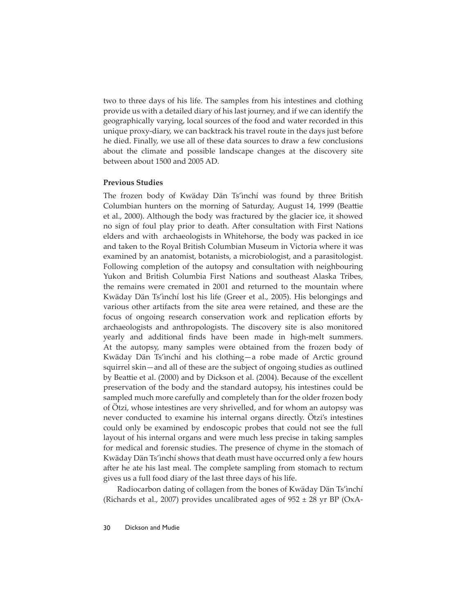two to three days of his life. The samples from his intestines and clothing provide us with a detailed diary of his last journey, and if we can identify the geographically varying, local sources of the food and water recorded in this unique proxy-diary, we can backtrack his travel route in the days just before he died. Finally, we use all of these data sources to draw a few conclusions about the climate and possible landscape changes at the discovery site between about 1500 and 2005 AD.

## **Previous Studies**

The frozen body of Kwäday Dän Ts'ìnchí was found by three British Columbian hunters on the morning of Saturday, August 14, 1999 (Beattie et al., 2000). Although the body was fractured by the glacier ice, it showed no sign of foul play prior to death. After consultation with First Nations elders and with archaeologists in Whitehorse, the body was packed in ice and taken to the Royal British Columbian Museum in Victoria where it was examined by an anatomist, botanists, a microbiologist, and a parasitologist. Following completion of the autopsy and consultation with neighbouring Yukon and British Columbia First Nations and southeast Alaska Tribes, the remains were cremated in 2001 and returned to the mountain where Kwäday Dän Ts'ìnchí lost his life (Greer et al., 2005). His belongings and various other artifacts from the site area were retained, and these are the focus of ongoing research conservation work and replication efforts by archaeologists and anthropologists. The discovery site is also monitored yearly and additional finds have been made in high-melt summers. At the autopsy, many samples were obtained from the frozen body of Kwäday Dän Ts'ìnchí and his clothing—a robe made of Arctic ground squirrel skin—and all of these are the subject of ongoing studies as outlined by Beattie et al. (2000) and by Dickson et al. (2004). Because of the excellent preservation of the body and the standard autopsy, his intestines could be sampled much more carefully and completely than for the older frozen body of Ötzi, whose intestines are very shrivelled, and for whom an autopsy was never conducted to examine his internal organs directly. Ötzi's intestines could only be examined by endoscopic probes that could not see the full layout of his internal organs and were much less precise in taking samples for medical and forensic studies. The presence of chyme in the stomach of Kwäday Dän Ts'ìnchí shows that death must have occurred only a few hours after he ate his last meal. The complete sampling from stomach to rectum gives us a full food diary of the last three days of his life.

Radiocarbon dating of collagen from the bones of Kwäday Dän Ts'ìnchí (Richards et al., 2007) provides uncalibrated ages of  $952 \pm 28$  yr BP (OxA-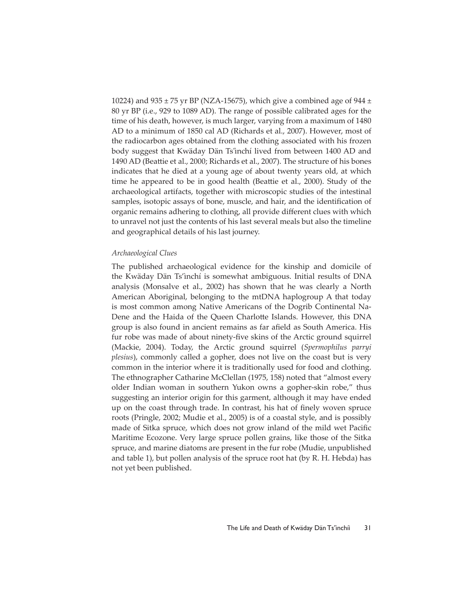10224) and 935  $\pm$  75 yr BP (NZA-15675), which give a combined age of 944  $\pm$ 80 yr BP (i.e., 929 to 1089 AD). The range of possible calibrated ages for the time of his death, however, is much larger, varying from a maximum of 1480 AD to a minimum of 1850 cal AD (Richards et al., 2007). However, most of the radiocarbon ages obtained from the clothing associated with his frozen body suggest that Kwäday Dän Ts'ìnchí lived from between 1400 AD and 1490 AD (Beattie et al., 2000; Richards et al., 2007). The structure of his bones indicates that he died at a young age of about twenty years old, at which time he appeared to be in good health (Beattie et al., 2000). Study of the archaeological artifacts, together with microscopic studies of the intestinal samples, isotopic assays of bone, muscle, and hair, and the identification of organic remains adhering to clothing, all provide different clues with which to unravel not just the contents of his last several meals but also the timeline and geographical details of his last journey.

## *Archaeological Clues*

The published archaeological evidence for the kinship and domicile of the Kwäday Dän Ts'ìnchí is somewhat ambiguous. Initial results of DNA analysis (Monsalve et al., 2002) has shown that he was clearly a North American Aboriginal, belonging to the mtDNA haplogroup A that today is most common among Native Americans of the Dogrib Continental Na-Dene and the Haida of the Queen Charlotte Islands. However, this DNA group is also found in ancient remains as far afield as South America. His fur robe was made of about ninety-five skins of the Arctic ground squirrel (Mackie, 2004). Today, the Arctic ground squirrel (*Spermophilus parryi plesius*), commonly called a gopher, does not live on the coast but is very common in the interior where it is traditionally used for food and clothing. The ethnographer Catharine McClellan (1975, 158) noted that "almost every older Indian woman in southern Yukon owns a gopher-skin robe," thus suggesting an interior origin for this garment, although it may have ended up on the coast through trade. In contrast, his hat of finely woven spruce roots (Pringle, 2002; Mudie et al., 2005) is of a coastal style, and is possibly made of Sitka spruce, which does not grow inland of the mild wet Pacific Maritime Ecozone. Very large spruce pollen grains, like those of the Sitka spruce, and marine diatoms are present in the fur robe (Mudie, unpublished and table 1), but pollen analysis of the spruce root hat (by R. H. Hebda) has not yet been published.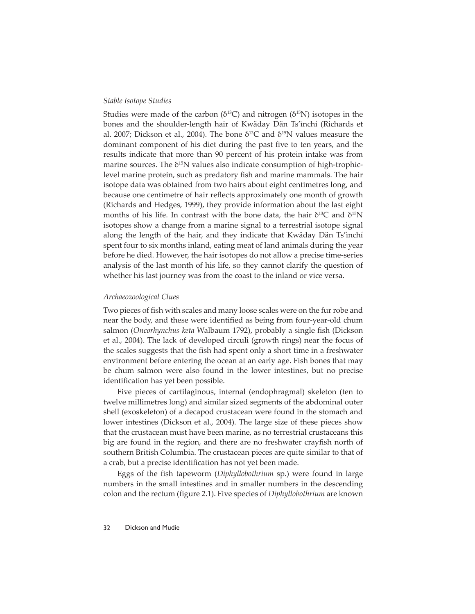## *Stable Isotope Studies*

Studies were made of the carbon ( $\delta^{13}C$ ) and nitrogen ( $\delta^{15}N$ ) isotopes in the bones and the shoulder-length hair of Kwäday Dän Ts'ìnchí (Richards et al. 2007; Dickson et al., 2004). The bone  $\delta^{13}C$  and  $\delta^{15}N$  values measure the dominant component of his diet during the past five to ten years, and the results indicate that more than 90 percent of his protein intake was from marine sources. The  $\delta^{15}N$  values also indicate consumption of high-trophiclevel marine protein, such as predatory fish and marine mammals. The hair isotope data was obtained from two hairs about eight centimetres long, and because one centimetre of hair reflects approximately one month of growth (Richards and Hedges, 1999), they provide information about the last eight months of his life. In contrast with the bone data, the hair  $\delta^{13}C$  and  $\delta^{15}N$ isotopes show a change from a marine signal to a terrestrial isotope signal along the length of the hair, and they indicate that Kwäday Dän Ts'ìnchí spent four to six months inland, eating meat of land animals during the year before he died. However, the hair isotopes do not allow a precise time-series analysis of the last month of his life, so they cannot clarify the question of whether his last journey was from the coast to the inland or vice versa.

#### *Archaeozoological Clues*

Two pieces of fish with scales and many loose scales were on the fur robe and near the body, and these were identified as being from four-year-old chum salmon (*Oncorhynchus keta* Walbaum 1792), probably a single fish (Dickson et al., 2004). The lack of developed circuli (growth rings) near the focus of the scales suggests that the fish had spent only a short time in a freshwater environment before entering the ocean at an early age. Fish bones that may be chum salmon were also found in the lower intestines, but no precise identification has yet been possible.

Five pieces of cartilaginous, internal (endophragmal) skeleton (ten to twelve millimetres long) and similar sized segments of the abdominal outer shell (exoskeleton) of a decapod crustacean were found in the stomach and lower intestines (Dickson et al., 2004). The large size of these pieces show that the crustacean must have been marine, as no terrestrial crustaceans this big are found in the region, and there are no freshwater crayfish north of southern British Columbia. The crustacean pieces are quite similar to that of a crab, but a precise identification has not yet been made.

Eggs of the fish tapeworm (*Diphyllobothrium* sp.) were found in large numbers in the small intestines and in smaller numbers in the descending colon and the rectum (figure 2.1). Five species of *Diphyllobothrium* are known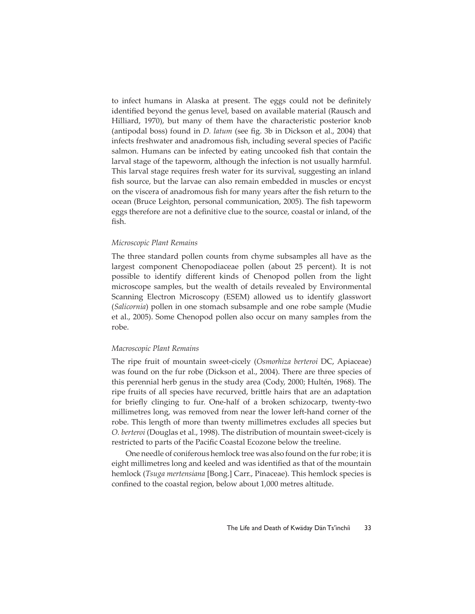to infect humans in Alaska at present. The eggs could not be definitely identified beyond the genus level, based on available material (Rausch and Hilliard, 1970), but many of them have the characteristic posterior knob (antipodal boss) found in *D. latum* (see fig. 3b in Dickson et al., 2004) that infects freshwater and anadromous fish, including several species of Pacific salmon. Humans can be infected by eating uncooked fish that contain the larval stage of the tapeworm, although the infection is not usually harmful. This larval stage requires fresh water for its survival, suggesting an inland fish source, but the larvae can also remain embedded in muscles or encyst on the viscera of anadromous fish for many years after the fish return to the ocean (Bruce Leighton, personal communication, 2005). The fish tapeworm eggs therefore are not a definitive clue to the source, coastal or inland, of the fish.

## *Microscopic Plant Remains*

The three standard pollen counts from chyme subsamples all have as the largest component Chenopodiaceae pollen (about 25 percent). It is not possible to identify different kinds of Chenopod pollen from the light microscope samples, but the wealth of details revealed by Environmental Scanning Electron Microscopy (ESEM) allowed us to identify glasswort (*Salicornia*) pollen in one stomach subsample and one robe sample (Mudie et al., 2005). Some Chenopod pollen also occur on many samples from the robe.

## *Macroscopic Plant Remains*

The ripe fruit of mountain sweet-cicely (*Osmorhiza berteroi* DC, Apiaceae) was found on the fur robe (Dickson et al., 2004). There are three species of this perennial herb genus in the study area (Cody, 2000; Hultén, 1968). The ripe fruits of all species have recurved, brittle hairs that are an adaptation for briefly clinging to fur. One-half of a broken schizocarp, twenty-two millimetres long, was removed from near the lower left-hand corner of the robe. This length of more than twenty millimetres excludes all species but *O. berteroi* (Douglas et al., 1998). The distribution of mountain sweet-cicely is restricted to parts of the Pacific Coastal Ecozone below the treeline.

One needle of coniferous hemlock tree was also found on the fur robe; it is eight millimetres long and keeled and was identified as that of the mountain hemlock (*Tsuga mertensiana* [Bong.] Carr., Pinaceae). This hemlock species is confined to the coastal region, below about 1,000 metres altitude.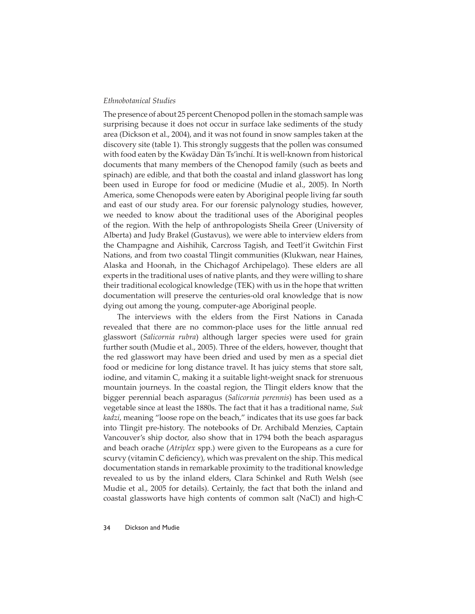## *Ethnobotanical Studies*

The presence of about 25 percent Chenopod pollen in the stomach sample was surprising because it does not occur in surface lake sediments of the study area (Dickson et al., 2004), and it was not found in snow samples taken at the discovery site (table 1). This strongly suggests that the pollen was consumed with food eaten by the Kwäday Dän Ts'ìnchí. It is well-known from historical documents that many members of the Chenopod family (such as beets and spinach) are edible, and that both the coastal and inland glasswort has long been used in Europe for food or medicine (Mudie et al., 2005). In North America, some Chenopods were eaten by Aboriginal people living far south and east of our study area. For our forensic palynology studies, however, we needed to know about the traditional uses of the Aboriginal peoples of the region. With the help of anthropologists Sheila Greer (University of Alberta) and Judy Brakel (Gustavus), we were able to interview elders from the Champagne and Aishihik, Carcross Tagish, and Teetl'it Gwitchin First Nations, and from two coastal Tlingit communities (Klukwan, near Haines, Alaska and Hoonah, in the Chichagof Archipelago). These elders are all experts in the traditional uses of native plants, and they were willing to share their traditional ecological knowledge (TEK) with us in the hope that written documentation will preserve the centuries-old oral knowledge that is now dying out among the young, computer-age Aboriginal people.

The interviews with the elders from the First Nations in Canada revealed that there are no common-place uses for the little annual red glasswort (*Salicornia rubra*) although larger species were used for grain further south (Mudie et al., 2005). Three of the elders, however, thought that the red glasswort may have been dried and used by men as a special diet food or medicine for long distance travel. It has juicy stems that store salt, iodine, and vitamin C, making it a suitable light-weight snack for strenuous mountain journeys. In the coastal region, the Tlingit elders know that the bigger perennial beach asparagus (*Salicornia perennis*) has been used as a vegetable since at least the 1880s. The fact that it has a traditional name, *Suk kadzi*, meaning "loose rope on the beach," indicates that its use goes far back into Tlingit pre-history. The notebooks of Dr. Archibald Menzies, Captain Vancouver's ship doctor, also show that in 1794 both the beach asparagus and beach orache (*Atriplex* spp.) were given to the Europeans as a cure for scurvy (vitamin C deficiency), which was prevalent on the ship. This medical documentation stands in remarkable proximity to the traditional knowledge revealed to us by the inland elders, Clara Schinkel and Ruth Welsh (see Mudie et al., 2005 for details). Certainly, the fact that both the inland and coastal glassworts have high contents of common salt (NaCl) and high-C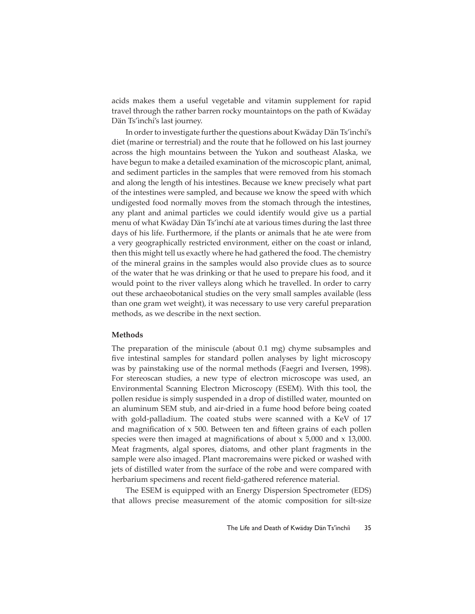acids makes them a useful vegetable and vitamin supplement for rapid travel through the rather barren rocky mountaintops on the path of Kwäday Dän Ts'ìnchí's last journey.

In order to investigate further the questions about Kwäday Dän Ts'ìnchí's diet (marine or terrestrial) and the route that he followed on his last journey across the high mountains between the Yukon and southeast Alaska, we have begun to make a detailed examination of the microscopic plant, animal, and sediment particles in the samples that were removed from his stomach and along the length of his intestines. Because we knew precisely what part of the intestines were sampled, and because we know the speed with which undigested food normally moves from the stomach through the intestines, any plant and animal particles we could identify would give us a partial menu of what Kwäday Dän Ts'ìnchí ate at various times during the last three days of his life. Furthermore, if the plants or animals that he ate were from a very geographically restricted environment, either on the coast or inland, then this might tell us exactly where he had gathered the food. The chemistry of the mineral grains in the samples would also provide clues as to source of the water that he was drinking or that he used to prepare his food, and it would point to the river valleys along which he travelled. In order to carry out these archaeobotanical studies on the very small samples available (less than one gram wet weight), it was necessary to use very careful preparation methods, as we describe in the next section.

## **Methods**

The preparation of the miniscule (about 0.1 mg) chyme subsamples and five intestinal samples for standard pollen analyses by light microscopy was by painstaking use of the normal methods (Faegri and Iversen, 1998). For stereoscan studies, a new type of electron microscope was used, an Environmental Scanning Electron Microscopy (ESEM). With this tool, the pollen residue is simply suspended in a drop of distilled water, mounted on an aluminum SEM stub, and air-dried in a fume hood before being coated with gold-palladium. The coated stubs were scanned with a KeV of 17 and magnification of  $x$  500. Between ten and fifteen grains of each pollen species were then imaged at magnifications of about  $x$  5,000 and  $x$  13,000. Meat fragments, algal spores, diatoms, and other plant fragments in the sample were also imaged. Plant macroremains were picked or washed with jets of distilled water from the surface of the robe and were compared with herbarium specimens and recent field-gathered reference material.

The ESEM is equipped with an Energy Dispersion Spectrometer (EDS) that allows precise measurement of the atomic composition for silt-size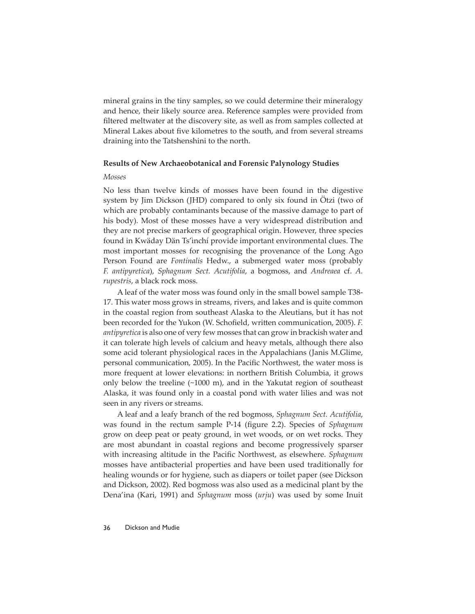mineral grains in the tiny samples, so we could determine their mineralogy and hence, their likely source area. Reference samples were provided from filtered meltwater at the discovery site, as well as from samples collected at Mineral Lakes about five kilometres to the south, and from several streams draining into the Tatshenshini to the north.

## **Results of New Archaeobotanical and Forensic Palynology Studies**

#### *Mosses*

No less than twelve kinds of mosses have been found in the digestive system by Jim Dickson (JHD) compared to only six found in Ötzi (two of which are probably contaminants because of the massive damage to part of his body). Most of these mosses have a very widespread distribution and they are not precise markers of geographical origin. However, three species found in Kwäday Dän Ts'ìnchí provide important environmental clues. The most important mosses for recognising the provenance of the Long Ago Person Found are *Fontinalis* Hedw., a submerged water moss (probably *F. antipyretica*), *Sphagnum Sect. Acutifolia*, a bogmoss, and *Andreaea* cf. *A. rupestris*, a black rock moss.

A leaf of the water moss was found only in the small bowel sample T38- 17. This water moss grows in streams, rivers, and lakes and is quite common in the coastal region from southeast Alaska to the Aleutians, but it has not been recorded for the Yukon (W. Schofield, written communication, 2005). *F. antipyretica* is also one of very few mosses that can grow in brackish water and it can tolerate high levels of calcium and heavy metals, although there also some acid tolerant physiological races in the Appalachians (Janis M.Glime, personal communication, 2005). In the Pacific Northwest, the water moss is more frequent at lower elevations: in northern British Columbia, it grows only below the treeline (~1000 m), and in the Yakutat region of southeast Alaska, it was found only in a coastal pond with water lilies and was not seen in any rivers or streams.

A leaf and a leafy branch of the red bogmoss, *Sphagnum Sect. Acutifolia*, was found in the rectum sample P-14 (figure 2.2). Species of *Sphagnum* grow on deep peat or peaty ground, in wet woods, or on wet rocks. They are most abundant in coastal regions and become progressively sparser with increasing altitude in the Pacific Northwest, as elsewhere. *Sphagnum* mosses have antibacterial properties and have been used traditionally for healing wounds or for hygiene, such as diapers or toilet paper (see Dickson and Dickson, 2002). Red bogmoss was also used as a medicinal plant by the Dena'ina (Kari, 1991) and *Sphagnum* moss (*urju*) was used by some Inuit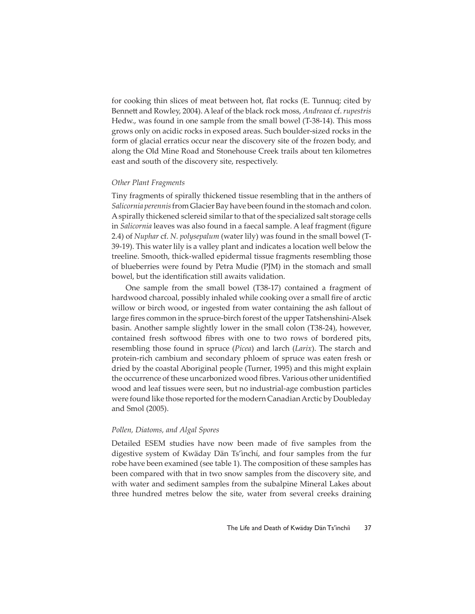for cooking thin slices of meat between hot, flat rocks (E. Tunnuq; cited by Bennett and Rowley, 2004). A leaf of the black rock moss, *Andreaea* cf. *rupestris*  Hedw., was found in one sample from the small bowel (T-38-14). This moss grows only on acidic rocks in exposed areas. Such boulder-sized rocks in the form of glacial erratics occur near the discovery site of the frozen body, and along the Old Mine Road and Stonehouse Creek trails about ten kilometres east and south of the discovery site, respectively.

## *Other Plant Fragments*

Tiny fragments of spirally thickened tissue resembling that in the anthers of *Salicornia perennis* from Glacier Bay have been found in the stomach and colon. A spirally thickened sclereid similar to that of the specialized salt storage cells in *Salicornia* leaves was also found in a faecal sample. A leaf fragment (figure 2.4) of *Nuphar* cf. *N. polysepalum* (water lily) was found in the small bowel (T-39-19). This water lily is a valley plant and indicates a location well below the treeline. Smooth, thick-walled epidermal tissue fragments resembling those of blueberries were found by Petra Mudie (PJM) in the stomach and small bowel, but the identification still awaits validation.

One sample from the small bowel (T38-17) contained a fragment of hardwood charcoal, possibly inhaled while cooking over a small fire of arctic willow or birch wood, or ingested from water containing the ash fallout of large fires common in the spruce-birch forest of the upper Tatshenshini-Alsek basin. Another sample slightly lower in the small colon (T38-24), however, contained fresh softwood fibres with one to two rows of bordered pits, resembling those found in spruce (*Picea*) and larch (*Larix*). The starch and protein-rich cambium and secondary phloem of spruce was eaten fresh or dried by the coastal Aboriginal people (Turner, 1995) and this might explain the occurrence of these uncarbonized wood fibres. Various other unidentified wood and leaf tissues were seen, but no industrial-age combustion particles were found like those reported for the modern Canadian Arctic by Doubleday and Smol (2005).

## *Pollen, Diatoms, and Algal Spores*

Detailed ESEM studies have now been made of five samples from the digestive system of Kwäday Dän Ts'ìnchí, and four samples from the fur robe have been examined (see table 1). The composition of these samples has been compared with that in two snow samples from the discovery site, and with water and sediment samples from the subalpine Mineral Lakes about three hundred metres below the site, water from several creeks draining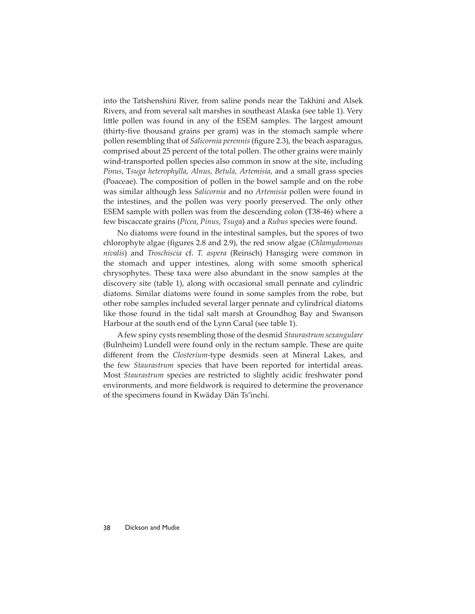into the Tatshenshini River, from saline ponds near the Takhini and Alsek Rivers, and from several salt marshes in southeast Alaska (see table 1). Very little pollen was found in any of the ESEM samples. The largest amount (thirty-five thousand grains per gram) was in the stomach sample where pollen resembling that of *Salicornia perennis* (figure 2.3), the beach asparagus, comprised about 25 percent of the total pollen. The other grains were mainly wind-transported pollen species also common in snow at the site, including *Pinus*, T*suga heterophylla*, *Alnus*, *Betula*, *Artemisia*, and a small grass species (Poaceae). The composition of pollen in the bowel sample and on the robe was similar although less *Salicornia* and no *Artemisia* pollen were found in the intestines, and the pollen was very poorly preserved. The only other ESEM sample with pollen was from the descending colon (T38-46) where a few biscaccate grains (*Picea*, *Pinus*, *Tsuga*) and a *Rubus* species were found.

No diatoms were found in the intestinal samples, but the spores of two chlorophyte algae (figures 2.8 and 2.9), the red snow algae (*Chlamydomonas nivalis*) and *Troschiscia* cf. *T. aspera* (Reinsch) Hansgirg were common in the stomach and upper intestines, along with some smooth spherical chrysophytes. These taxa were also abundant in the snow samples at the discovery site (table 1), along with occasional small pennate and cylindric diatoms. Similar diatoms were found in some samples from the robe, but other robe samples included several larger pennate and cylindrical diatoms like those found in the tidal salt marsh at Groundhog Bay and Swanson Harbour at the south end of the Lynn Canal (see table 1).

A few spiny cysts resembling those of the desmid *Staurastrum sexangulare* (Bulnheim) Lundell were found only in the rectum sample. These are quite different from the *Closterium*-type desmids seen at Mineral Lakes, and the few *Staurastrum* species that have been reported for intertidal areas. Most *Staurastrum* species are restricted to slightly acidic freshwater pond environments, and more fieldwork is required to determine the provenance of the specimens found in Kwäday Dän Ts'ìnchí.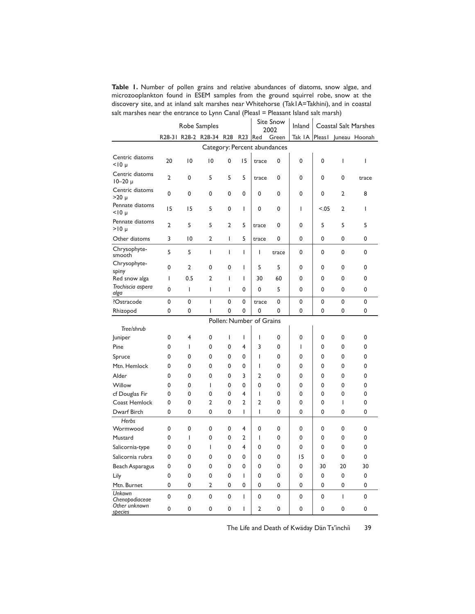**Table 1.** Number of pollen grains and relative abundances of diatoms, snow algae, and microzooplankton found in ESEM samples from the ground squirrel robe, snow at the discovery site, and at inland salt marshes near Whitehorse (Tak1A=Takhini), and in coastal salt marshes near the entrance to Lynn Canal (PleasI = Pleasant Island salt marsh)

|                                           | Robe Samples   |                |                                 |                  |        | <b>Site Snow</b><br>2002 |                   | Inland         | <b>Coastal Salt Marshes</b> |                   |                       |
|-------------------------------------------|----------------|----------------|---------------------------------|------------------|--------|--------------------------|-------------------|----------------|-----------------------------|-------------------|-----------------------|
|                                           |                |                | R28-31 R28-2 R28-34 R28 R23 Red |                  |        |                          | Green             | Tak $ A $      |                             |                   | Pleas I Juneau Hoonah |
| Category: Percent abundances              |                |                |                                 |                  |        |                          |                   |                |                             |                   |                       |
| Centric diatoms<br>$<$ 10 µ               | 20             | 10             | 10                              | 0                | 15     | trace                    | 0                 | 0              | 0                           | I                 | I                     |
| Centric diatoms<br>$10 - 20 \mu$          | $\overline{2}$ | 0              | 5                               | 5                | 5      | trace                    | 0                 | 0              | 0                           | 0                 | trace                 |
| Centric diatoms<br>$>20 \mu$              | 0              | 0              | 0                               | 0                | 0      | 0                        | 0                 | 0              | 0                           | 2                 | 8                     |
| Pennate diatoms<br>$<$ $10 \mu$           | 15             | 15             | 5                               | 0                | I      | 0                        | 0                 | $\overline{1}$ | < 0.05                      | 2                 | I                     |
| Pennate diatoms<br>$>10 \mu$              | $\overline{2}$ | 5              | 5                               | $\overline{2}$   | 5      | trace                    | 0                 | 0              | 5                           | 5                 | 5                     |
| Other diatoms                             | 3              | $\overline{0}$ | $\overline{2}$                  | L                | 5      | trace                    | 0                 | 0              | 0                           | 0                 | 0                     |
| Chrysophyte-<br>smooth                    | 5              | 5              | T                               | L                | L      | ı                        | trace             | 0              | 0                           | 0                 | 0                     |
| Chrysophyte-<br>spiny                     | 0              | 2              | 0                               | 0                | I      | 5                        | 5                 | 0              | 0                           | 0                 | 0                     |
| Red snow alga                             | I              | 0.5            | 2                               | I                | I      | 30                       | 60                | 0              | 0                           | 0                 | 0                     |
| Trochiscia aspera<br>alga                 | 0              | T              | T                               | L                | 0      | 0                        | 5                 | 0              | 0                           | 0                 | 0                     |
| ?Ostracode                                | 0              | 0              | T                               | 0                | 0      | trace                    | $\mathbf{0}$      | 0              | 0                           | 0                 | 0                     |
| Rhizopod                                  | 0              | 0              | I                               | 0                | 0      | 0                        | 0                 | 0              | 0                           | 0                 | 0                     |
| Pollen: Number of Grains                  |                |                |                                 |                  |        |                          |                   |                |                             |                   |                       |
| Tree/shrub                                |                |                |                                 |                  |        |                          |                   |                |                             |                   |                       |
| Juniper                                   | 0              | 4              | 0                               | L                | I      | I                        | 0                 | 0              | 0                           | 0                 | 0                     |
| Pine                                      | 0              | T              | 0                               | 0                | 4      | 3                        | 0                 | $\mathsf{I}$   | 0                           | 0                 | 0                     |
| Spruce                                    | 0              | 0              | 0                               | 0                | 0      | I                        | 0                 | 0              | 0                           | 0                 | 0                     |
| Mtn. Hemlock                              | 0              | 0              | 0                               | 0                | 0      | T                        | 0                 | 0              | 0                           | 0                 | 0                     |
| Alder                                     | 0              | 0              | 0                               | 0                | 3      | 2                        | 0                 | 0              | 0                           | 0                 | 0                     |
| Willow                                    | 0              | 0              | T                               | 0                | 0      | 0                        | 0                 | 0              | 0                           | 0                 | 0                     |
| cf Douglas Fir                            | 0              | 0              | 0                               | 0                | 4      | I                        | 0                 | 0              | 0                           | 0                 | 0                     |
| Coast Hemlock                             | 0              | 0              | 2                               | 0                | 2      | 2                        | 0                 | 0              | 0                           | I                 | 0                     |
| Dwarf Birch                               | 0              | 0              | 0                               | 0                | I      | I                        | 0                 | 0              | 0                           | 0                 | 0                     |
| Herbs                                     |                |                |                                 |                  |        |                          |                   |                |                             |                   | 0                     |
| Wormwood                                  | 0<br>0         | 0<br>T         | 0<br>0                          | 0<br>0           | 4<br>2 | 0<br>T                   | 0<br>$\mathbf 0$  | 0<br>0         | 0<br>0                      | 0<br>0            | 0                     |
| Mustard                                   |                |                |                                 |                  |        |                          |                   |                |                             |                   |                       |
| Salicornia-type                           | 0              | 0              | I                               | 0                | 4      | 0                        | 0                 | 0              | 0                           | 0                 | 0                     |
| Salicornia rubra                          | 0              | 0              | 0                               | 0                | 0      | 0                        | 0                 | 15             | 0                           | 0                 | 0                     |
| Beach Asparagus                           | 0              | 0              | 0                               | 0                | 0      | 0                        | 0                 | 0              | 30                          | 20                | 30                    |
| Lily                                      | 0              | 0              | 0                               | 0                | I      | 0                        | 0                 | 0              | 0                           | 0                 | 0                     |
| Mtn. Burnet                               | 0              | 0              | 2                               | 0                | 0      | 0                        | 0                 | 0              | 0                           | 0                 | 0                     |
| Unkown<br>Chenopodiaceae<br>Other unknown | 0<br>0         | 0<br>0         | $\mathbf 0$<br>0                | $\mathbf 0$<br>0 | T<br>I | 0<br>2                   | $\mathbf{0}$<br>0 | 0<br>0         | 0<br>0                      | $\mathsf{I}$<br>0 | 0<br>0                |
| species                                   |                |                |                                 |                  |        |                          |                   |                |                             |                   |                       |

The Life and Death of Kwäday Dän Ts'ìnchíi 39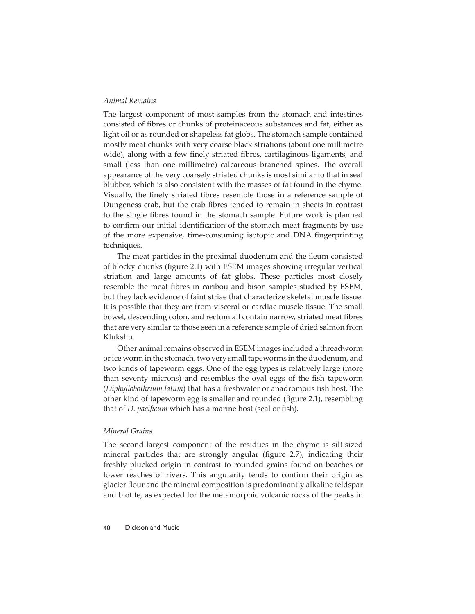## *Animal Remains*

The largest component of most samples from the stomach and intestines consisted of fibres or chunks of proteinaceous substances and fat, either as light oil or as rounded or shapeless fat globs. The stomach sample contained mostly meat chunks with very coarse black striations (about one millimetre wide), along with a few finely striated fibres, cartilaginous ligaments, and small (less than one millimetre) calcareous branched spines. The overall appearance of the very coarsely striated chunks is most similar to that in seal blubber, which is also consistent with the masses of fat found in the chyme. Visually, the finely striated fibres resemble those in a reference sample of Dungeness crab, but the crab fibres tended to remain in sheets in contrast to the single fibres found in the stomach sample. Future work is planned to confirm our initial identification of the stomach meat fragments by use of the more expensive, time-consuming isotopic and DNA fingerprinting techniques.

The meat particles in the proximal duodenum and the ileum consisted of blocky chunks (figure 2.1) with ESEM images showing irregular vertical striation and large amounts of fat globs. These particles most closely resemble the meat fibres in caribou and bison samples studied by ESEM, but they lack evidence of faint striae that characterize skeletal muscle tissue. It is possible that they are from visceral or cardiac muscle tissue. The small bowel, descending colon, and rectum all contain narrow, striated meat fibres that are very similar to those seen in a reference sample of dried salmon from Klukshu.

Other animal remains observed in ESEM images included a threadworm or ice worm in the stomach, two very small tapeworms in the duodenum, and two kinds of tapeworm eggs. One of the egg types is relatively large (more than seventy microns) and resembles the oval eggs of the fish tapeworm (*Diphyllobothrium latum*) that has a freshwater or anadromous fish host. The other kind of tapeworm egg is smaller and rounded (figure 2.1), resembling that of *D. pacificum* which has a marine host (seal or fish).

### *Mineral Grains*

The second-largest component of the residues in the chyme is silt-sized mineral particles that are strongly angular (figure 2.7), indicating their freshly plucked origin in contrast to rounded grains found on beaches or lower reaches of rivers. This angularity tends to confirm their origin as glacier flour and the mineral composition is predominantly alkaline feldspar and biotite, as expected for the metamorphic volcanic rocks of the peaks in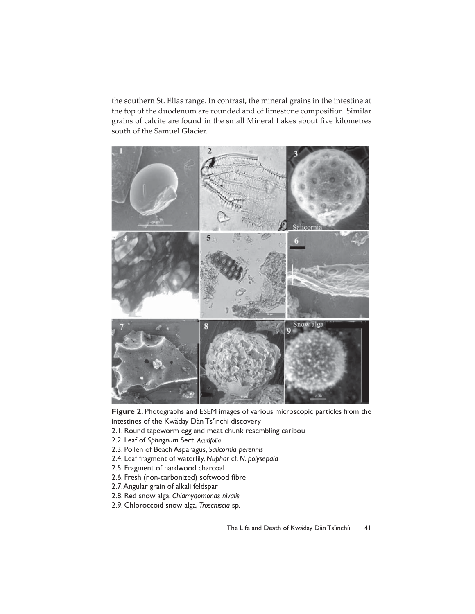the southern St. Elias range. In contrast, the mineral grains in the intestine at the top of the duodenum are rounded and of limestone composition. Similar grains of calcite are found in the small Mineral Lakes about five kilometres south of the Samuel Glacier.





- 2.1. Round tapeworm egg and meat chunk resembling caribou
- 2.2. Leaf of *Sphagnum* Sect.
- 2.3. Pollen of Beach Asparagus, *Salicornia perennis*
- 2.4. Leaf fragment of waterlily, *Nuphar* cf. *N. polysepala*
- 2.5. Fragment of hardwood charcoal
- 2.6. Fresh (non-carbonized) softwood fibre
- 2.7. Angular grain of alkali feldspar
- 2.8. Red snow alga, *Chlamydomonas nivalis*
- 2.9. Chloroccoid snow alga, *Troschiscia* sp.

The Life and Death of Kwäday Dän Ts'inchíi 41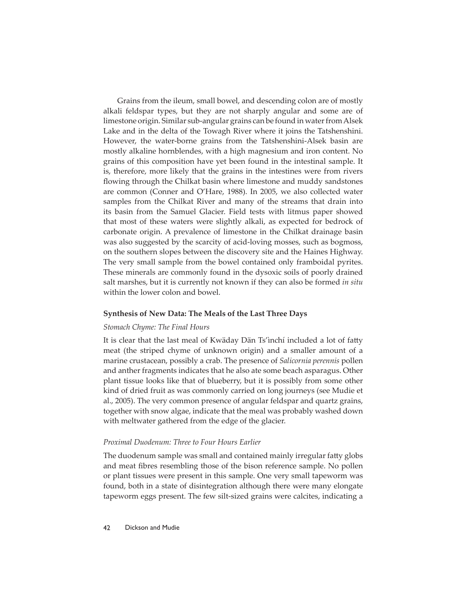Grains from the ileum, small bowel, and descending colon are of mostly alkali feldspar types, but they are not sharply angular and some are of limestone origin. Similar sub-angular grains can be found in water from Alsek Lake and in the delta of the Towagh River where it joins the Tatshenshini. However, the water-borne grains from the Tatshenshini-Alsek basin are mostly alkaline hornblendes, with a high magnesium and iron content. No grains of this composition have yet been found in the intestinal sample. It is, therefore, more likely that the grains in the intestines were from rivers flowing through the Chilkat basin where limestone and muddy sandstones are common (Conner and O'Hare, 1988). In 2005, we also collected water samples from the Chilkat River and many of the streams that drain into its basin from the Samuel Glacier. Field tests with litmus paper showed that most of these waters were slightly alkali, as expected for bedrock of carbonate origin. A prevalence of limestone in the Chilkat drainage basin was also suggested by the scarcity of acid-loving mosses, such as bogmoss, on the southern slopes between the discovery site and the Haines Highway. The very small sample from the bowel contained only framboidal pyrites. These minerals are commonly found in the dysoxic soils of poorly drained salt marshes, but it is currently not known if they can also be formed *in situ* within the lower colon and bowel.

## **Synthesis of New Data: The Meals of the Last Three Days**

## *Stomach Chyme: The Final Hours*

It is clear that the last meal of Kwäday Dän Ts'inchí included a lot of fatty meat (the striped chyme of unknown origin) and a smaller amount of a marine crustacean, possibly a crab. The presence of *Salicornia perennis* pollen and anther fragments indicates that he also ate some beach asparagus. Other plant tissue looks like that of blueberry, but it is possibly from some other kind of dried fruit as was commonly carried on long journeys (see Mudie et al., 2005). The very common presence of angular feldspar and quartz grains, together with snow algae, indicate that the meal was probably washed down with meltwater gathered from the edge of the glacier.

## *Proximal Duodenum: Three to Four Hours Earlier*

The duodenum sample was small and contained mainly irregular fatty globs and meat fibres resembling those of the bison reference sample. No pollen or plant tissues were present in this sample. One very small tapeworm was found, both in a state of disintegration although there were many elongate tapeworm eggs present. The few silt-sized grains were calcites, indicating a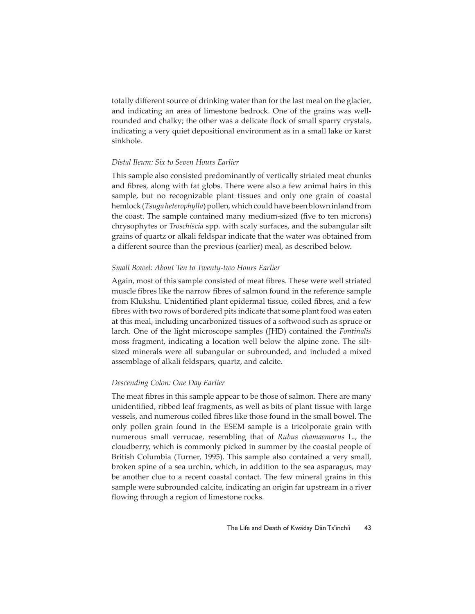totally different source of drinking water than for the last meal on the glacier, and indicating an area of limestone bedrock. One of the grains was wellrounded and chalky; the other was a delicate flock of small sparry crystals, indicating a very quiet depositional environment as in a small lake or karst sinkhole.

## *Distal Ileum: Six to Seven Hours Earlier*

This sample also consisted predominantly of vertically striated meat chunks and fibres, along with fat globs. There were also a few animal hairs in this sample, but no recognizable plant tissues and only one grain of coastal hemlock (*Tsuga heterophylla*) pollen, which could have been blown inland from the coast. The sample contained many medium-sized (five to ten microns) chrysophytes or *Troschiscia* spp. with scaly surfaces, and the subangular silt grains of quartz or alkali feldspar indicate that the water was obtained from a different source than the previous (earlier) meal, as described below.

## *Small Bowel: About Ten to Twenty-two Hours Earlier*

Again, most of this sample consisted of meat fibres. These were well striated muscle fibres like the narrow fibres of salmon found in the reference sample from Klukshu. Unidentified plant epidermal tissue, coiled fibres, and a few fibres with two rows of bordered pits indicate that some plant food was eaten at this meal, including uncarbonized tissues of a softwood such as spruce or larch. One of the light microscope samples (JHD) contained the *Fontinalis* moss fragment, indicating a location well below the alpine zone. The siltsized minerals were all subangular or subrounded, and included a mixed assemblage of alkali feldspars, quartz, and calcite.

## *Descending Colon: One Day Earlier*

The meat fibres in this sample appear to be those of salmon. There are many unidentified, ribbed leaf fragments, as well as bits of plant tissue with large vessels, and numerous coiled fibres like those found in the small bowel. The only pollen grain found in the ESEM sample is a tricolporate grain with numerous small verrucae, resembling that of *Rubus chamaemorus* L., the cloudberry, which is commonly picked in summer by the coastal people of British Columbia (Turner, 1995). This sample also contained a very small, broken spine of a sea urchin, which, in addition to the sea asparagus, may be another clue to a recent coastal contact. The few mineral grains in this sample were subrounded calcite, indicating an origin far upstream in a river flowing through a region of limestone rocks.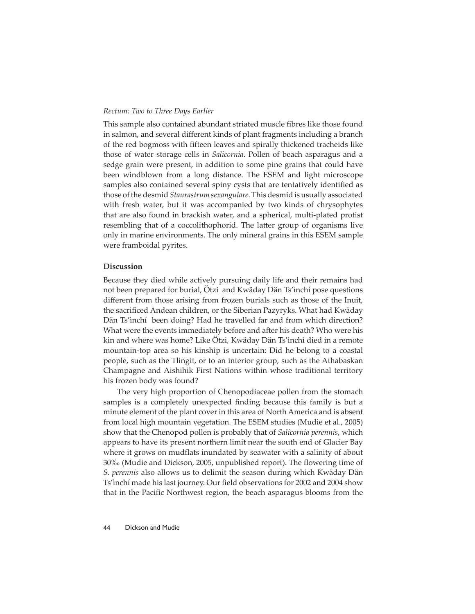## *Rectum: Two to Three Days Earlier*

This sample also contained abundant striated muscle fibres like those found in salmon, and several different kinds of plant fragments including a branch of the red bogmoss with fifteen leaves and spirally thickened tracheids like those of water storage cells in *Salicornia*. Pollen of beach asparagus and a sedge grain were present, in addition to some pine grains that could have been windblown from a long distance. The ESEM and light microscope samples also contained several spiny cysts that are tentatively identified as those of the desmid *Staurastrum sexangulare*. This desmid is usually associated with fresh water, but it was accompanied by two kinds of chrysophytes that are also found in brackish water, and a spherical, multi-plated protist resembling that of a coccolithophorid. The latter group of organisms live only in marine environments. The only mineral grains in this ESEM sample were framboidal pyrites.

## **Discussion**

Because they died while actively pursuing daily life and their remains had not been prepared for burial, Ötzi and Kwäday Dän Ts'ìnchí pose questions different from those arising from frozen burials such as those of the Inuit, the sacrificed Andean children, or the Siberian Pazyryks. What had Kwäday Dän Ts'ìnchí been doing? Had he travelled far and from which direction? What were the events immediately before and after his death? Who were his kin and where was home? Like Ötzi, Kwäday Dän Ts'ìnchí died in a remote mountain-top area so his kinship is uncertain: Did he belong to a coastal people, such as the Tlingit, or to an interior group, such as the Athabaskan Champagne and Aishihik First Nations within whose traditional territory his frozen body was found?

The very high proportion of Chenopodiaceae pollen from the stomach samples is a completely unexpected finding because this family is but a minute element of the plant cover in this area of North America and is absent from local high mountain vegetation. The ESEM studies (Mudie et al., 2005) show that the Chenopod pollen is probably that of *Salicornia perennis*, which appears to have its present northern limit near the south end of Glacier Bay where it grows on mudflats inundated by seawater with a salinity of about 30‰ (Mudie and Dickson, 2005, unpublished report). The flowering time of *S. perennis* also allows us to delimit the season during which Kwäday Dän Ts'inchí made his last journey. Our field observations for 2002 and 2004 show that in the Pacific Northwest region, the beach asparagus blooms from the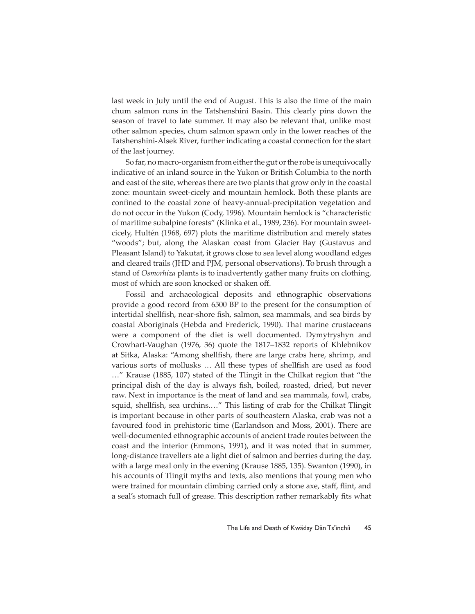last week in July until the end of August. This is also the time of the main chum salmon runs in the Tatshenshini Basin. This clearly pins down the season of travel to late summer. It may also be relevant that, unlike most other salmon species, chum salmon spawn only in the lower reaches of the Tatshenshini-Alsek River, further indicating a coastal connection for the start of the last journey.

So far, no macro-organism from either the gut or the robe is unequivocally indicative of an inland source in the Yukon or British Columbia to the north and east of the site, whereas there are two plants that grow only in the coastal zone: mountain sweet-cicely and mountain hemlock. Both these plants are confined to the coastal zone of heavy-annual-precipitation vegetation and do not occur in the Yukon (Cody, 1996). Mountain hemlock is "characteristic of maritime subalpine forests" (Klinka et al., 1989, 236). For mountain sweetcicely, Hultén (1968, 697) plots the maritime distribution and merely states "woods"; but, along the Alaskan coast from Glacier Bay (Gustavus and Pleasant Island) to Yakutat, it grows close to sea level along woodland edges and cleared trails (JHD and PJM, personal observations). To brush through a stand of *Osmorhiza* plants is to inadvertently gather many fruits on clothing, most of which are soon knocked or shaken off.

Fossil and archaeological deposits and ethnographic observations provide a good record from 6500 BP to the present for the consumption of intertidal shellfish, near-shore fish, salmon, sea mammals, and sea birds by coastal Aboriginals (Hebda and Frederick, 1990). That marine crustaceans were a component of the diet is well documented. Dymytryshyn and Crowhart-Vaughan (1976, 36) quote the 1817–1832 reports of Khlebnikov at Sitka, Alaska: "Among shellfish, there are large crabs here, shrimp, and various sorts of mollusks ... All these types of shellfish are used as food …" Krause (1885, 107) stated of the Tlingit in the Chilkat region that "the principal dish of the day is always fish, boiled, roasted, dried, but never raw. Next in importance is the meat of land and sea mammals, fowl, crabs, squid, shellfish, sea urchins...." This listing of crab for the Chilkat Tlingit is important because in other parts of southeastern Alaska, crab was not a favoured food in prehistoric time (Earlandson and Moss, 2001). There are well-documented ethnographic accounts of ancient trade routes between the coast and the interior (Emmons, 1991), and it was noted that in summer, long-distance travellers ate a light diet of salmon and berries during the day, with a large meal only in the evening (Krause 1885, 135). Swanton (1990), in his accounts of Tlingit myths and texts, also mentions that young men who were trained for mountain climbing carried only a stone axe, staff, flint, and a seal's stomach full of grease. This description rather remarkably fits what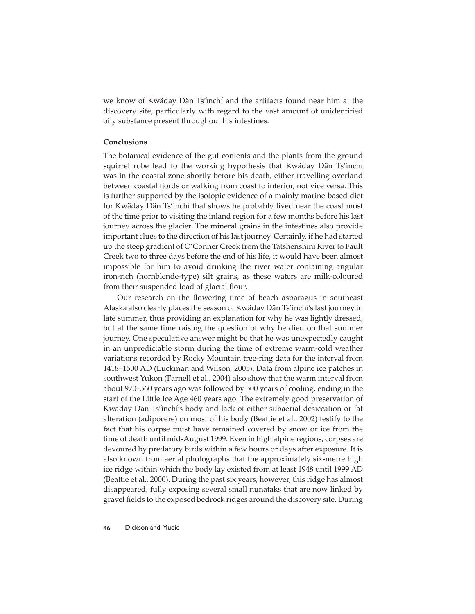we know of Kwäday Dän Ts'ìnchí and the artifacts found near him at the discovery site, particularly with regard to the vast amount of unidentified oily substance present throughout his intestines.

## **Conclusions**

The botanical evidence of the gut contents and the plants from the ground squirrel robe lead to the working hypothesis that Kwäday Dän Ts'ìnchí was in the coastal zone shortly before his death, either travelling overland between coastal fjords or walking from coast to interior, not vice versa. This is further supported by the isotopic evidence of a mainly marine-based diet for Kwäday Dän Ts'ìnchí that shows he probably lived near the coast most of the time prior to visiting the inland region for a few months before his last journey across the glacier. The mineral grains in the intestines also provide important clues to the direction of his last journey. Certainly, if he had started up the steep gradient of O'Conner Creek from the Tatshenshini River to Fault Creek two to three days before the end of his life, it would have been almost impossible for him to avoid drinking the river water containing angular iron-rich (hornblende-type) silt grains, as these waters are milk-coloured from their suspended load of glacial flour.

Our research on the flowering time of beach asparagus in southeast Alaska also clearly places the season of Kwäday Dän Ts'ìnchí's last journey in late summer, thus providing an explanation for why he was lightly dressed, but at the same time raising the question of why he died on that summer journey. One speculative answer might be that he was unexpectedly caught in an unpredictable storm during the time of extreme warm-cold weather variations recorded by Rocky Mountain tree-ring data for the interval from 1418–1500 AD (Luckman and Wilson, 2005). Data from alpine ice patches in southwest Yukon (Farnell et al., 2004) also show that the warm interval from about 970–560 years ago was followed by 500 years of cooling, ending in the start of the Little Ice Age 460 years ago. The extremely good preservation of Kwäday Dän Ts'ìnchí's body and lack of either subaerial desiccation or fat alteration (adipocere) on most of his body (Beattie et al., 2002) testify to the fact that his corpse must have remained covered by snow or ice from the time of death until mid-August 1999. Even in high alpine regions, corpses are devoured by predatory birds within a few hours or days after exposure. It is also known from aerial photographs that the approximately six-metre high ice ridge within which the body lay existed from at least 1948 until 1999 AD (Beattie et al., 2000). During the past six years, however, this ridge has almost disappeared, fully exposing several small nunataks that are now linked by gravel fields to the exposed bedrock ridges around the discovery site. During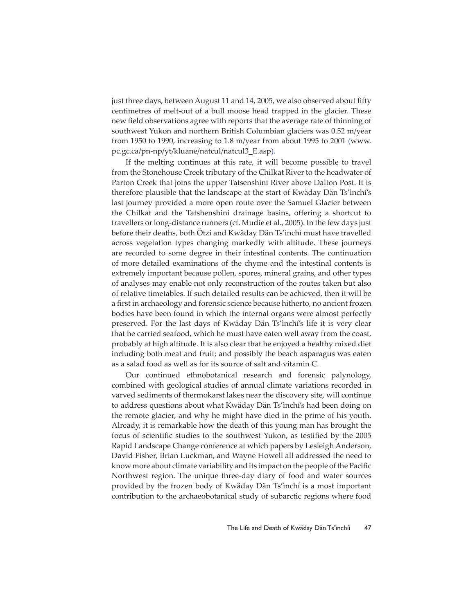just three days, between August 11 and 14, 2005, we also observed about fifty centimetres of melt-out of a bull moose head trapped in the glacier. These new field observations agree with reports that the average rate of thinning of southwest Yukon and northern British Columbian glaciers was 0.52 m/year from 1950 to 1990, increasing to 1.8 m/year from about 1995 to 2001 (www. pc.gc.ca/pn-np/yt/kluane/natcul/natcul3\_E.asp).

If the melting continues at this rate, it will become possible to travel from the Stonehouse Creek tributary of the Chilkat River to the headwater of Parton Creek that joins the upper Tatsenshini River above Dalton Post. It is therefore plausible that the landscape at the start of Kwäday Dän Ts'ìnchí's last journey provided a more open route over the Samuel Glacier between the Chilkat and the Tatshenshini drainage basins, offering a shortcut to travellers or long-distance runners (cf. Mudie et al., 2005). In the few days just before their deaths, both Ötzi and Kwäday Dän Ts'ìnchí must have travelled across vegetation types changing markedly with altitude. These journeys are recorded to some degree in their intestinal contents. The continuation of more detailed examinations of the chyme and the intestinal contents is extremely important because pollen, spores, mineral grains, and other types of analyses may enable not only reconstruction of the routes taken but also of relative timetables. If such detailed results can be achieved, then it will be a first in archaeology and forensic science because hitherto, no ancient frozen bodies have been found in which the internal organs were almost perfectly preserved. For the last days of Kwäday Dän Ts'ìnchí's life it is very clear that he carried seafood, which he must have eaten well away from the coast, probably at high altitude. It is also clear that he enjoyed a healthy mixed diet including both meat and fruit; and possibly the beach asparagus was eaten as a salad food as well as for its source of salt and vitamin C.

Our continued ethnobotanical research and forensic palynology, combined with geological studies of annual climate variations recorded in varved sediments of thermokarst lakes near the discovery site, will continue to address questions about what Kwäday Dän Ts'ìnchí's had been doing on the remote glacier, and why he might have died in the prime of his youth. Already, it is remarkable how the death of this young man has brought the focus of scientific studies to the southwest Yukon, as testified by the 2005 Rapid Landscape Change conference at which papers by Lesleigh Anderson, David Fisher, Brian Luckman, and Wayne Howell all addressed the need to know more about climate variability and its impact on the people of the Pacific Northwest region. The unique three-day diary of food and water sources provided by the frozen body of Kwäday Dän Ts'ìnchí is a most important contribution to the archaeobotanical study of subarctic regions where food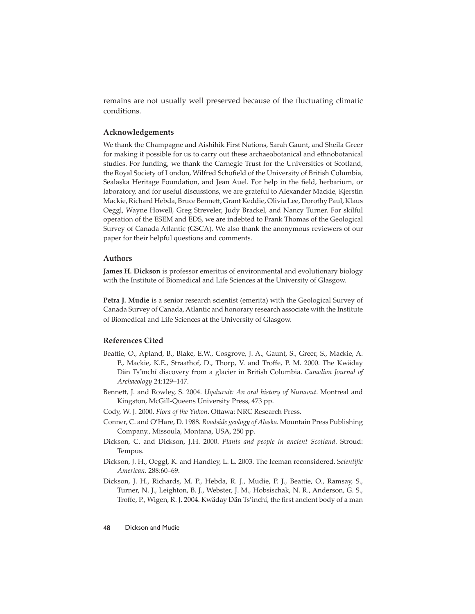remains are not usually well preserved because of the fluctuating climatic conditions.

## **Acknowledgements**

We thank the Champagne and Aishihik First Nations, Sarah Gaunt, and Sheila Greer for making it possible for us to carry out these archaeobotanical and ethnobotanical studies. For funding, we thank the Carnegie Trust for the Universities of Scotland, the Royal Society of London, Wilfred Schofield of the University of British Columbia, Sealaska Heritage Foundation, and Jean Auel. For help in the field, herbarium, or laboratory, and for useful discussions, we are grateful to Alexander Mackie, Kjerstin Mackie, Richard Hebda, Bruce Bennett , Grant Keddie, Olivia Lee, Dorothy Paul, Klaus Oeggl, Wayne Howell, Greg Streveler, Judy Brackel, and Nancy Turner. For skilful operation of the ESEM and EDS, we are indebted to Frank Thomas of the Geological Survey of Canada Atlantic (GSCA). We also thank the anonymous reviewers of our paper for their helpful questions and comments.

## **Authors**

**James H. Dickson** is professor emeritus of environmental and evolutionary biology with the Institute of Biomedical and Life Sciences at the University of Glasgow.

**Petra J. Mudie** is a senior research scientist (emerita) with the Geological Survey of Canada Survey of Canada, Atlantic and honorary research associate with the Institute of Biomedical and Life Sciences at the University of Glasgow.

## **References Cited**

- Beattie, O., Apland, B., Blake, E.W., Cosgrove, J. A., Gaunt, S., Greer, S., Mackie, A. P., Mackie, K.E., Straathof, D., Thorp, V. and Troffe, P. M. 2000. The Kwäday Dän Ts'ìnchí discovery from a glacier in British Columbia. *Canadian Journal of Archaeology* 24:129–147.
- Bennett, J. and Rowley, S. 2004. *Uqalurait: An oral history of Nunavut*. Montreal and Kingston, McGill-Queens University Press, 473 pp.
- Cody, W. J. 2000. *Flora of the Yukon*. Ottawa: NRC Research Press.
- Conner, C. and O'Hare, D. 1988. *Roadside geology of Alaska*. Mountain Press Publishing Company., Missoula, Montana, USA, 250 pp.
- Dickson, C. and Dickson, J.H. 2000. *Plants and people in ancient Scotland*. Stroud: Tempus.
- Dickson, J. H., Oeggl, K. and Handley, L. L. 2003. The Iceman reconsidered. Scientific *American*. 288:60–69.
- Dickson, J. H., Richards, M. P., Hebda, R. J., Mudie, P. J., Beattie, O., Ramsay, S., Turner, N. J., Leighton, B. J., Webster, J. M., Hobsischak, N. R., Anderson, G. S., Troffe, P., Wigen, R. J. 2004. Kwäday Dän Ts'ìnchí, the first ancient body of a man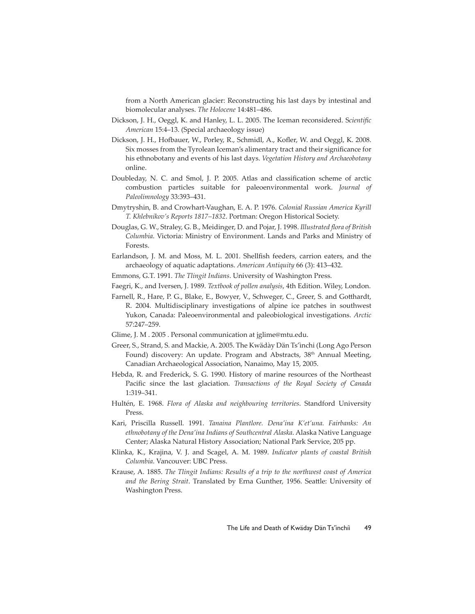from a North American glacier: Reconstructing his last days by intestinal and biomolecular analyses. *The Holocene* 14:481–486.

- Dickson, J. H., Oeggl, K. and Hanley, L. L. 2005. The Iceman reconsidered. Scientific *American* 15:4–13. (Special archaeology issue)
- Dickson, J. H., Hofbauer, W., Porley, R., Schmidl, A., Kofler, W. and Oeggl, K. 2008. Six mosses from the Tyrolean Iceman's alimentary tract and their significance for his ethnobotany and events of his last days. *Vegetation History and Archaeobotany* online.
- Doubleday, N. C. and Smol, J. P. 2005. Atlas and classification scheme of arctic combustion particles suitable for paleoenvironmental work. *Journal of Paleolimnology* 33:393–431.
- Dmytryshin, B. and Crowhart-Vaughan, E. A. P. 1976. *Colonial Russian America Kyrill T. Khlebnikov's Reports 1817–1832*. Portman: Oregon Historical Society.
- Douglas, G. W., Straley, G. B., Meidinger, D. and Pojar, J. 1998. *Illustrated flora of British Columbia*. Victoria: Ministry of Environment. Lands and Parks and Ministry of Forests.
- Earlandson, J. M. and Moss, M. L. 2001. Shellfish feeders, carrion eaters, and the archaeology of aquatic adaptations. *American Antiquity* 66 (3): 413–432.
- Emmons, G.T. 1991. *The Tlingit Indians*. University of Washington Press.
- Faegri, K., and Iversen, J. 1989. *Textbook of pollen analysis*, 4th Edition. Wiley, London.
- Farnell, R., Hare, P. G., Blake, E., Bowyer, V., Schweger, C., Greer, S. and Gotthardt, R. 2004. Multidisciplinary investigations of alpine ice patches in southwest Yukon, Canada: Paleoenvironmental and paleobiological investigations. *Arctic* 57:247–259.
- Glime, J. M . 2005 . Personal communication at jglime@mtu.edu.
- Greer, S., Strand, S. and Mackie, A. 2005. The Kwädày Dän Ts'ìnchi (Long Ago Person Found) discovery: An update. Program and Abstracts, 38<sup>th</sup> Annual Meeting, Canadian Archaeological Association, Nanaimo, May 15, 2005.
- Hebda, R. and Frederick, S. G. 1990. History of marine resources of the Northeast Pacific since the last glaciation. *Transactions of the Royal Society of Canada* 1:319–341.
- Hultén, E. 1968. *Flora of Alaska and neighbouring territories*. Standford University Press.
- Kari, Priscilla Russell. 1991. *Tanaina Plantlore. Dena'ina K'et'una. Fairbanks: An ethnobotany of the Dena'ina Indians of Southcentral Alaska*. Alaska Native Language Center; Alaska Natural History Association; National Park Service, 205 pp.
- Klinka, K., Krajina, V. J. and Scagel, A. M. 1989. *Indicator plants of coastal British Columbia*. Vancouver: UBC Press.
- Krause, A. 1885. *The Tlingit Indians: Results of a trip to the northwest coast of America*  and the Bering Strait. Translated by Erna Gunther, 1956. Seattle: University of Washington Press.